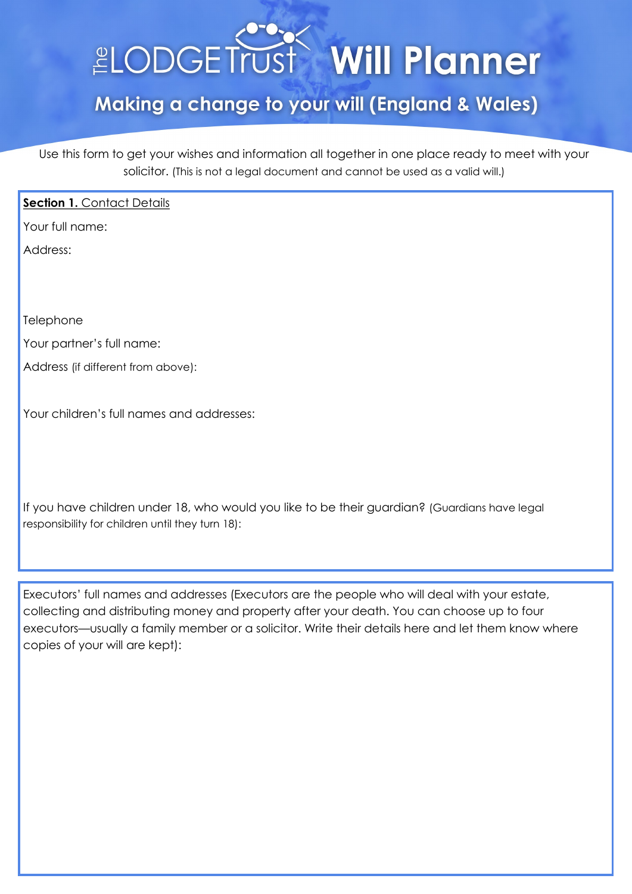# **LODGETrust Will Planner**

# Making a change to your will (England & Wales)

Use this form to get your wishes and information all together in one place ready to meet with your solicitor. (This is not a legal document and cannot be used as a valid will.)

#### **Section 1. Contact Details**

Your full name:

Address:

**Telephone** 

Your partner's full name:

Address (if different from above):

Your children's full names and addresses:

If you have children under 18, who would you like to be their guardian? (Guardians have legal responsibility for children until they turn 18):

Executors' full names and addresses (Executors are the people who will deal with your estate, collecting and distributing money and property after your death. You can choose up to four executors—usually a family member or a solicitor. Write their details here and let them know where copies of your will are kept):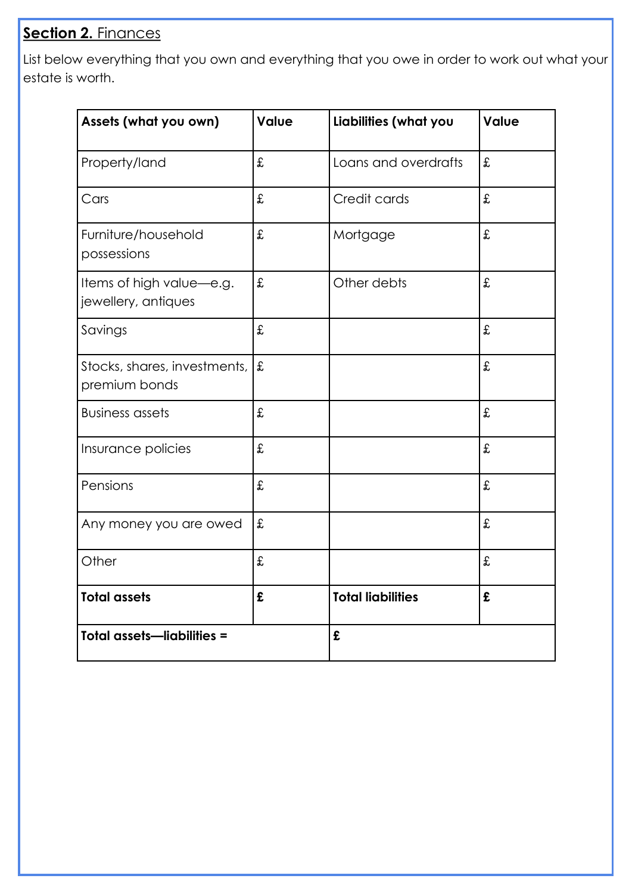### **Section 2. Finances**

List below everything that you own and everything that you owe in order to work out what your estate is worth.

| Assets (what you own)                           | <b>Value</b> | Liabilities (what you    | <b>Value</b> |
|-------------------------------------------------|--------------|--------------------------|--------------|
| Property/land                                   | £            | Loans and overdrafts     | £            |
| Cars                                            | £            | Credit cards             | £            |
| Furniture/household<br>possessions              | £            | Mortgage                 | £            |
| Items of high value-e.g.<br>jewellery, antiques | £            | Other debts              | £            |
| Savings                                         | £            |                          | £            |
| Stocks, shares, investments,<br>premium bonds   | £            |                          | £            |
| <b>Business assets</b>                          | £            |                          | £            |
| Insurance policies                              | £            |                          | £            |
| Pensions                                        | £            |                          | £            |
| Any money you are owed                          | £            |                          | £            |
| Other                                           | £            |                          | £            |
| <b>Total assets</b>                             | £            | <b>Total liabilities</b> | £            |
| <b>Total assets-liabilities =</b>               |              | £                        |              |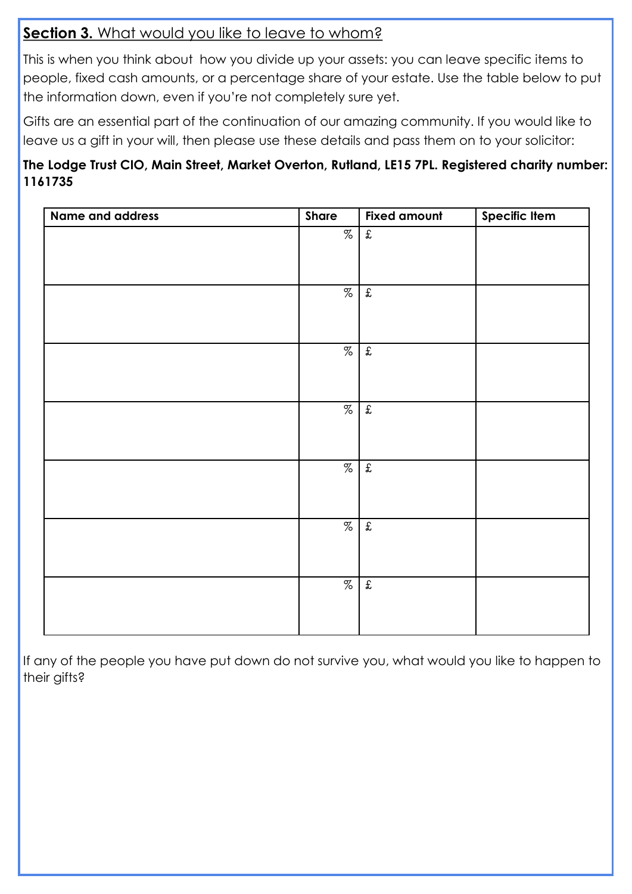#### **Section 3.** What would you like to leave to whom?

This is when you think about how you divide up your assets: you can leave specific items to people, fixed cash amounts, or a percentage share of your estate. Use the table below to put the information down, even if you're not completely sure yet.

Gifts are an essential part of the continuation of our amazing community. If you would like to leave us a gift in your will, then please use these details and pass them on to your solicitor:

#### **The Lodge Trust CIO, Main Street, Market Overton, Rutland, LE15 7PL. Registered charity number: 1161735**

| Share | <b>Fixed amount</b>  | <b>Specific Item</b> |
|-------|----------------------|----------------------|
| $\%$  | $\pmb{\mathfrak{X}}$ |                      |
|       |                      |                      |
|       |                      |                      |
| %     | $\mathfrak{X}$       |                      |
|       |                      |                      |
|       |                      |                      |
| %     | $\mathfrak{X}$       |                      |
|       |                      |                      |
|       |                      |                      |
| $\%$  | $\mathbf{f}$         |                      |
|       |                      |                      |
|       |                      |                      |
| $\%$  | $\pounds$            |                      |
|       |                      |                      |
|       |                      |                      |
| $\%$  | $\pmb{\mathfrak{X}}$ |                      |
|       |                      |                      |
|       |                      |                      |
| %     | $\mathfrak{X}$       |                      |
|       |                      |                      |
|       |                      |                      |
|       |                      |                      |

If any of the people you have put down do not survive you, what would you like to happen to their gifts?